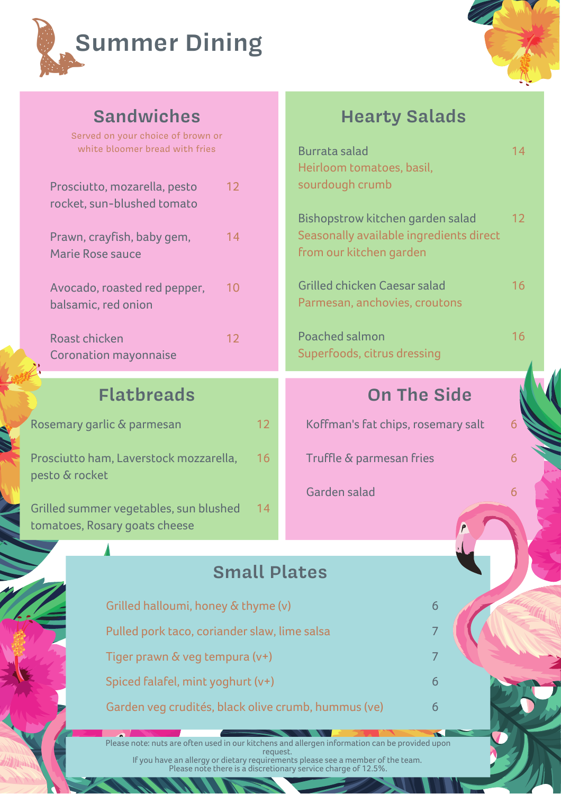



Served on your choice of brown or white bloomer bread with fries

| Prosciutto, mozarella, pesto<br>rocket, sun-blushed tomato | 12 |
|------------------------------------------------------------|----|
| Prawn, crayfish, baby gem,<br>Marie Rose sauce             | 14 |
| Avocado, roasted red pepper,<br>balsamic, red onion        | 10 |
| Roast chicken<br><b>Coronation mayonnaise</b>              | 12 |

## **Flatbreads**

| Rosemary garlic & parmesan                               | 12. |
|----------------------------------------------------------|-----|
| Prosciutto ham, Laverstock mozzarella,<br>pesto & rocket | 16  |
| $\sim$ 11 1 $\sim$ $\sim$ $\sim$ 11 $\sim$ 11 1 1 4 4    |     |

Grilled summer vegetables, sun blushed tomatoes, Rosary goats cheese 14

## **Sandwiches Hearty Salads**

| bloomer bread with fries                      | <b>Burrata salad</b><br>Heirloom tomatoes, basil,                                                      | 14                |
|-----------------------------------------------|--------------------------------------------------------------------------------------------------------|-------------------|
| , mozarella, pesto<br>12<br>a-blushed tomato  | sourdough crumb                                                                                        |                   |
| yfish, baby gem,<br>14<br>e sauce             | Bishopstrow kitchen garden salad<br>Seasonally available ingredients direct<br>from our kitchen garden | $12 \overline{ }$ |
| oasted red pepper,<br>10<br>red onion         | Grilled chicken Caesar salad<br>Parmesan, anchovies, croutons                                          | 16                |
| ken<br>12<br>n mayonnaise                     | Poached salmon<br>Superfoods, citrus dressing                                                          | 16                |
| <b>Iatbreads</b>                              | <b>On The Side</b>                                                                                     |                   |
| lic & parmesan                                | Koffman's fat chips, rosemary salt<br>12                                                               | 6                 |
|                                               |                                                                                                        |                   |
| n, Laverstock mozzarella,                     | Truffle & parmesan fries<br>16                                                                         | 6                 |
|                                               | Garden salad                                                                                           | 6                 |
| r vegetables, sun blushed<br>ary goats cheese | 14                                                                                                     |                   |
| Δ                                             |                                                                                                        |                   |
|                                               | <b>Small Plates</b>                                                                                    |                   |
| Grilled halloumi, honey & thyme (v)           | 6                                                                                                      |                   |

7

6

6

Tiger prawn & veg tempura (v+)

Spiced falafel, mint yoghurt (v+)

Garden veg crudités, black olive crumb, hummus (ve)

Please note: nuts are often used in our kitchens and allergen information can be provided upon request. If you have an allergy or dietary requirements please see a member of the team. Please note there is a discretionary service charge of 12.5%.